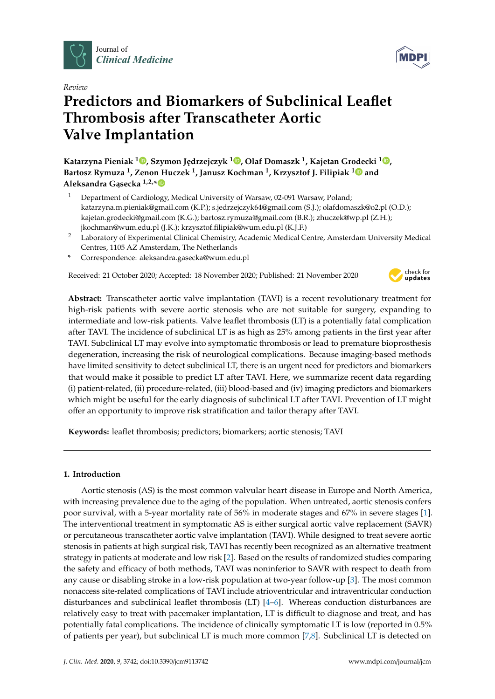

*Review*

# **Predictors and Biomarkers of Subclinical Leaflet Thrombosis after Transcatheter Aortic Valve Implantation**

**Katarzyna Pieniak <sup>1</sup> [,](https://orcid.org/0000-0003-3915-5758) Szymon J ˛edrzejczyk <sup>1</sup> [,](https://orcid.org/0000-0003-4674-0736) Olaf Domaszk <sup>1</sup> , Kajetan Grodecki <sup>1</sup> [,](https://orcid.org/0000-0002-0358-5679) Bartosz Rymuza <sup>1</sup> , Zenon Huczek <sup>1</sup> , Janusz Kochman <sup>1</sup> , Krzysztof J. Filipiak [1](https://orcid.org/0000-0002-6563-0877) and Aleksandra Gasecka** <sup>1,2,[\\*](https://orcid.org/0000-0001-5083-7587)</sub></sup>

- <sup>1</sup> Department of Cardiology, Medical University of Warsaw, 02-091 Warsaw, Poland; katarzyna.m.pieniak@gmail.com (K.P.); s.jedrzejczyk64@gmail.com (S.J.); olafdomaszk@o2.pl (O.D.); kajetan.grodecki@gmail.com (K.G.); bartosz.rymuza@gmail.com (B.R.); zhuczek@wp.pl (Z.H.); jkochman@wum.edu.pl (J.K.); krzysztof.filipiak@wum.edu.pl (K.J.F.)
- <sup>2</sup> Laboratory of Experimental Clinical Chemistry, Academic Medical Centre, Amsterdam University Medical Centres, 1105 AZ Amsterdam, The Netherlands
- **\*** Correspondence: aleksandra.gasecka@wum.edu.pl

Received: 21 October 2020; Accepted: 18 November 2020; Published: 21 November 2020



**Abstract:** Transcatheter aortic valve implantation (TAVI) is a recent revolutionary treatment for high-risk patients with severe aortic stenosis who are not suitable for surgery, expanding to intermediate and low-risk patients. Valve leaflet thrombosis (LT) is a potentially fatal complication after TAVI. The incidence of subclinical LT is as high as 25% among patients in the first year after TAVI. Subclinical LT may evolve into symptomatic thrombosis or lead to premature bioprosthesis degeneration, increasing the risk of neurological complications. Because imaging-based methods have limited sensitivity to detect subclinical LT, there is an urgent need for predictors and biomarkers that would make it possible to predict LT after TAVI. Here, we summarize recent data regarding (i) patient-related, (ii) procedure-related, (iii) blood-based and (iv) imaging predictors and biomarkers which might be useful for the early diagnosis of subclinical LT after TAVI. Prevention of LT might offer an opportunity to improve risk stratification and tailor therapy after TAVI.

**Keywords:** leaflet thrombosis; predictors; biomarkers; aortic stenosis; TAVI

## **1. Introduction**

Aortic stenosis (AS) is the most common valvular heart disease in Europe and North America, with increasing prevalence due to the aging of the population. When untreated, aortic stenosis confers poor survival, with a 5-year mortality rate of 56% in moderate stages and 67% in severe stages [\[1\]](#page-9-0). The interventional treatment in symptomatic AS is either surgical aortic valve replacement (SAVR) or percutaneous transcatheter aortic valve implantation (TAVI). While designed to treat severe aortic stenosis in patients at high surgical risk, TAVI has recently been recognized as an alternative treatment strategy in patients at moderate and low risk [\[2\]](#page-9-1). Based on the results of randomized studies comparing the safety and efficacy of both methods, TAVI was noninferior to SAVR with respect to death from any cause or disabling stroke in a low-risk population at two-year follow-up [\[3\]](#page-9-2). The most common nonaccess site-related complications of TAVI include atrioventricular and intraventricular conduction disturbances and subclinical leaflet thrombosis (LT) [\[4–](#page-9-3)[6\]](#page-9-4). Whereas conduction disturbances are relatively easy to treat with pacemaker implantation, LT is difficult to diagnose and treat, and has potentially fatal complications. The incidence of clinically symptomatic LT is low (reported in 0.5% of patients per year), but subclinical LT is much more common [\[7](#page-9-5)[,8\]](#page-9-6). Subclinical LT is detected on

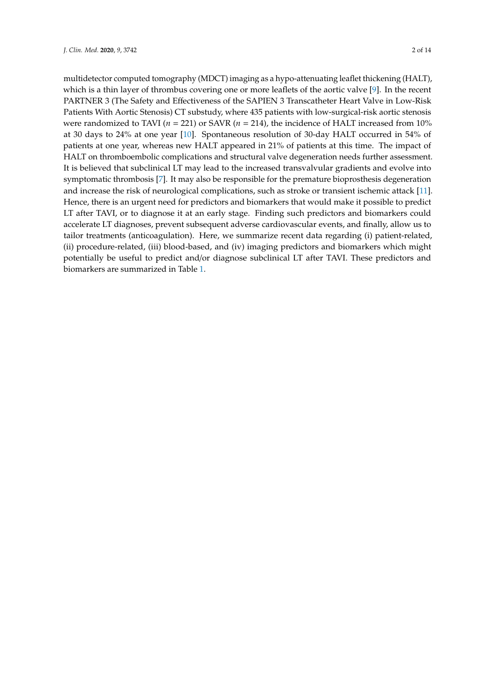multidetector computed tomography (MDCT) imaging as a hypo-attenuating leaflet thickening (HALT), which is a thin layer of thrombus covering one or more leaflets of the aortic valve [\[9\]](#page-9-7). In the recent PARTNER 3 (The Safety and Effectiveness of the SAPIEN 3 Transcatheter Heart Valve in Low-Risk Patients With Aortic Stenosis) CT substudy, where 435 patients with low-surgical-risk aortic stenosis were randomized to TAVI ( $n = 221$ ) or SAVR ( $n = 214$ ), the incidence of HALT increased from 10% at 30 days to 24% at one year [\[10\]](#page-9-8). Spontaneous resolution of 30-day HALT occurred in 54% of patients at one year, whereas new HALT appeared in 21% of patients at this time. The impact of HALT on thromboembolic complications and structural valve degeneration needs further assessment. It is believed that subclinical LT may lead to the increased transvalvular gradients and evolve into symptomatic thrombosis [\[7\]](#page-9-5). It may also be responsible for the premature bioprosthesis degeneration and increase the risk of neurological complications, such as stroke or transient ischemic attack [\[11\]](#page-9-9). Hence, there is an urgent need for predictors and biomarkers that would make it possible to predict LT after TAVI, or to diagnose it at an early stage. Finding such predictors and biomarkers could accelerate LT diagnoses, prevent subsequent adverse cardiovascular events, and finally, allow us to tailor treatments (anticoagulation). Here, we summarize recent data regarding (i) patient-related, (ii) procedure-related, (iii) blood-based, and (iv) imaging predictors and biomarkers which might potentially be useful to predict and/or diagnose subclinical LT after TAVI. These predictors and biomarkers are summarized in Table [1.](#page-2-0)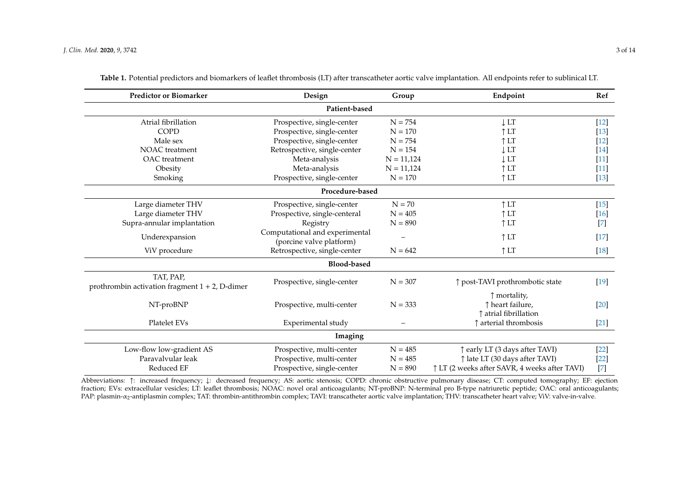| <b>Predictor or Biomarker</b>                                  | Design                                                     | Group        | Endpoint                                                  | Ref    |
|----------------------------------------------------------------|------------------------------------------------------------|--------------|-----------------------------------------------------------|--------|
|                                                                | Patient-based                                              |              |                                                           |        |
| Atrial fibrillation                                            | Prospective, single-center                                 | $N = 754$    | LT                                                        | $[12]$ |
| <b>COPD</b>                                                    | Prospective, single-center                                 | $N = 170$    | $\uparrow$ LT                                             | $[13]$ |
| Male sex                                                       | Prospective, single-center                                 | $N = 754$    | $\uparrow$ LT                                             | $[12]$ |
| NOAC treatment                                                 | Retrospective, single-center                               | $N = 154$    | LT                                                        | $[14]$ |
| OAC treatment                                                  | Meta-analysis                                              | $N = 11,124$ | LT                                                        | $[11]$ |
| Obesity                                                        | Meta-analysis                                              | $N = 11,124$ | $\uparrow$ LT                                             | $[11]$ |
| Smoking                                                        | Prospective, single-center                                 | $N = 170$    | $\uparrow$ LT                                             | $[13]$ |
|                                                                | Procedure-based                                            |              |                                                           |        |
| Large diameter THV                                             | Prospective, single-center                                 | $N = 70$     | $\uparrow$ LT                                             | $[15]$ |
| Large diameter THV                                             | Prospective, single-centeral                               | $N = 405$    | $\uparrow$ LT                                             | $[16]$ |
| Supra-annular implantation                                     | Registry                                                   | $N = 890$    | $\uparrow$ LT                                             | $[7]$  |
| Underexpansion                                                 | Computational and experimental<br>(porcine valve platform) |              | $\uparrow$ LT                                             | $[17]$ |
| ViV procedure                                                  | Retrospective, single-center                               | $N = 642$    | $\uparrow$ LT                                             | $[18]$ |
|                                                                | <b>Blood-based</b>                                         |              |                                                           |        |
| TAT, PAP,<br>prothrombin activation fragment $1 + 2$ , D-dimer | Prospective, single-center                                 | $N = 307$    | ↑ post-TAVI prothrombotic state                           | $[19]$ |
| NT-proBNP                                                      | Prospective, multi-center                                  | $N = 333$    | ↑ mortality,<br>↑ heart failure,<br>↑ atrial fibrillation | $[20]$ |
| Platelet EVs                                                   | Experimental study                                         |              | ↑ arterial thrombosis                                     | $[21]$ |
|                                                                | Imaging                                                    |              |                                                           |        |
| Low-flow low-gradient AS                                       | Prospective, multi-center                                  | $N = 485$    | ↑ early LT (3 days after TAVI)                            | $[22]$ |
| Paravalvular leak                                              | Prospective, multi-center                                  | $N = 485$    | ↑ late LT (30 days after TAVI)                            | $[22]$ |
| Reduced EF                                                     | Prospective, single-center                                 | $N = 890$    | ↑ LT (2 weeks after SAVR, 4 weeks after TAVI)             | $[7]$  |

**Table 1.** Potential predictors and biomarkers of leaflet thrombosis (LT) after transcatheter aortic valve implantation. All endpoints refer to sublinical LT.

<span id="page-2-0"></span>Abbreviations: ↑: increased frequency; ↓: decreased frequency; AS: aortic stenosis; COPD: chronic obstructive pulmonary disease; CT: computed tomography; EF: ejection fraction; EVs: extracellular vesicles; LT: leaflet thrombosis; NOAC: novel oral anticoagulants; NT-proBNP: N-terminal pro B-type natriuretic peptide; OAC: oral anticoagulants; PAP: plasmin-α2-antiplasmin complex; TAT: thrombin-antithrombin complex; TAVI: transcatheter aortic valve implantation; THV: transcatheter heart valve; ViV: valve-in-valve.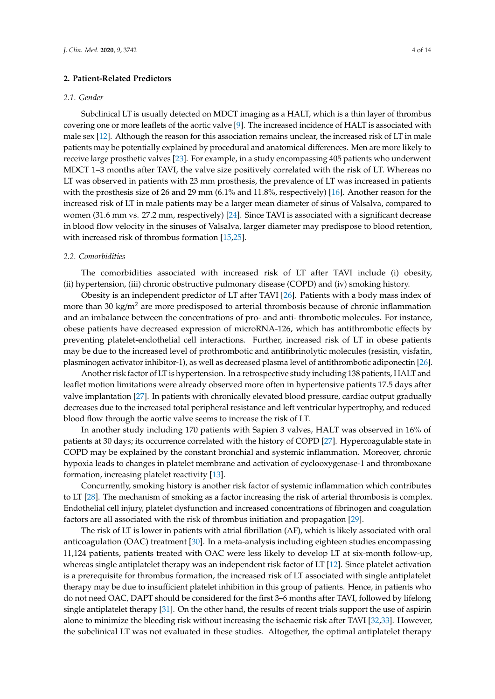## **2. Patient-Related Predictors**

#### *2.1. Gender*

Subclinical LT is usually detected on MDCT imaging as a HALT, which is a thin layer of thrombus covering one or more leaflets of the aortic valve [\[9\]](#page-9-7). The increased incidence of HALT is associated with male sex [\[12\]](#page-10-11). Although the reason for this association remains unclear, the increased risk of LT in male patients may be potentially explained by procedural and anatomical differences. Men are more likely to receive large prosthetic valves [\[23\]](#page-10-12). For example, in a study encompassing 405 patients who underwent MDCT 1–3 months after TAVI, the valve size positively correlated with the risk of LT. Whereas no LT was observed in patients with 23 mm prosthesis, the prevalence of LT was increased in patients with the prosthesis size of 26 and 29 mm (6.1% and 11.8%, respectively) [\[16\]](#page-10-13). Another reason for the increased risk of LT in male patients may be a larger mean diameter of sinus of Valsalva, compared to women (31.6 mm vs. 27.2 mm, respectively) [\[24\]](#page-10-14). Since TAVI is associated with a significant decrease in blood flow velocity in the sinuses of Valsalva, larger diameter may predispose to blood retention, with increased risk of thrombus formation [\[15](#page-10-9)[,25\]](#page-10-15).

#### *2.2. Comorbidities*

The comorbidities associated with increased risk of LT after TAVI include (i) obesity, (ii) hypertension, (iii) chronic obstructive pulmonary disease (COPD) and (iv) smoking history.

Obesity is an independent predictor of LT after TAVI [\[26\]](#page-10-16). Patients with a body mass index of more than 30 kg/m<sup>2</sup> are more predisposed to arterial thrombosis because of chronic inflammation and an imbalance between the concentrations of pro- and anti- thrombotic molecules. For instance, obese patients have decreased expression of microRNA-126, which has antithrombotic effects by preventing platelet-endothelial cell interactions. Further, increased risk of LT in obese patients may be due to the increased level of prothrombotic and antifibrinolytic molecules (resistin, visfatin, plasminogen activator inhibitor-1), as well as decreased plasma level of antithrombotic adiponectin [\[26\]](#page-10-16).

Another risk factor of LT is hypertension. In a retrospective study including 138 patients, HALT and leaflet motion limitations were already observed more often in hypertensive patients 17.5 days after valve implantation [\[27\]](#page-10-17). In patients with chronically elevated blood pressure, cardiac output gradually decreases due to the increased total peripheral resistance and left ventricular hypertrophy, and reduced blood flow through the aortic valve seems to increase the risk of LT.

In another study including 170 patients with Sapien 3 valves, HALT was observed in 16% of patients at 30 days; its occurrence correlated with the history of COPD [\[27\]](#page-10-17). Hypercoagulable state in COPD may be explained by the constant bronchial and systemic inflammation. Moreover, chronic hypoxia leads to changes in platelet membrane and activation of cyclooxygenase-1 and thromboxane formation, increasing platelet reactivity [\[13\]](#page-10-18).

Concurrently, smoking history is another risk factor of systemic inflammation which contributes to LT [\[28\]](#page-10-19). The mechanism of smoking as a factor increasing the risk of arterial thrombosis is complex. Endothelial cell injury, platelet dysfunction and increased concentrations of fibrinogen and coagulation factors are all associated with the risk of thrombus initiation and propagation [\[29\]](#page-10-20).

The risk of LT is lower in patients with atrial fibrillation (AF), which is likely associated with oral anticoagulation (OAC) treatment [\[30\]](#page-11-0). In a meta-analysis including eighteen studies encompassing 11,124 patients, patients treated with OAC were less likely to develop LT at six-month follow-up, whereas single antiplatelet therapy was an independent risk factor of LT [\[12\]](#page-10-11). Since platelet activation is a prerequisite for thrombus formation, the increased risk of LT associated with single antiplatelet therapy may be due to insufficient platelet inhibition in this group of patients. Hence, in patients who do not need OAC, DAPT should be considered for the first 3–6 months after TAVI, followed by lifelong single antiplatelet therapy [\[31\]](#page-11-1). On the other hand, the results of recent trials support the use of aspirin alone to minimize the bleeding risk without increasing the ischaemic risk after TAVI [\[32,](#page-11-2)[33\]](#page-11-3). However, the subclinical LT was not evaluated in these studies. Altogether, the optimal antiplatelet therapy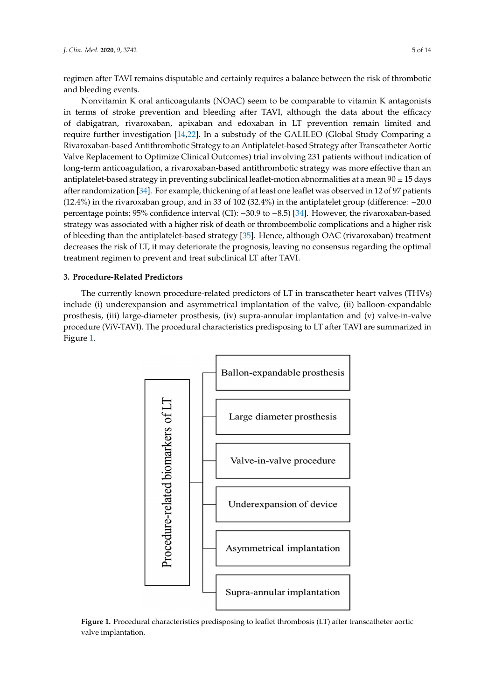regimen after TAVI remains disputable and certainly requires a balance between the risk of thrombotic and bleeding events.

Nonvitamin K oral anticoagulants (NOAC) seem to be comparable to vitamin K antagonists in terms of stroke prevention and bleeding after TAVI, although the data about the efficacy of dabigatran, rivaroxaban, apixaban and edoxaban in LT prevention remain limited and require further investigation [\[14,](#page-10-21)[22\]](#page-10-22). In a substudy of the GALILEO (Global Study Comparing a Rivaroxaban-based Antithrombotic Strategy to an Antiplatelet-based Strategy after Transcatheter Aortic Valve Replacement to Optimize Clinical Outcomes) trial involving 231 patients without indication of long-term anticoagulation, a rivaroxaban-based antithrombotic strategy was more effective than an antiplatelet-based strategy in preventing subclinical leaflet-motion abnormalities at a mean  $90 \pm 15$  days after randomization [\[34\]](#page-11-4). For example, thickening of at least one leaflet was observed in 12 of 97 patients (12.4%) in the rivaroxaban group, and in 33 of 102 (32.4%) in the antiplatelet group (difference: −20.0 percentage points; 95% confidence interval (CI): −30.9 to −8.5) [\[34\]](#page-11-4). However, the rivaroxaban-based strategy was associated with a higher risk of death or thromboembolic complications and a higher risk of bleeding than the antiplatelet-based strategy [\[35\]](#page-11-5). Hence, although OAC (rivaroxaban) treatment decreases the risk of LT, it may deteriorate the prognosis, leaving no consensus regarding the optimal treatment regimen to prevent and treat subclinical LT after TAVI.

## **3. Procedure-Related Predictors**

<span id="page-4-0"></span>The currently known procedure-related predictors of LT in transcatheter heart valves (THVs) include (i) underexpansion and asymmetrical implantation of the valve, (ii) balloon-expandable prosthesis, (iii) large-diameter prosthesis, (iv) supra-annular implantation and (v) valve-in-valve procedure (ViV-TAVI). The procedural characteristics predisposing to LT after TAVI are summarized in Figure [1.](#page-4-0) *J. Clin. Med.* **2020**, *9*, x FOR PEER REVIEW 5 of 13



**Figure 1.** Procedural characteristics predisposing to leaflet thrombosis (LT) after transcatheter aortic **Figure 1.** Procedural characteristics predisposing to leaflet thrombosis (LT) after transcatheter aortic valve implantation. valve implantation.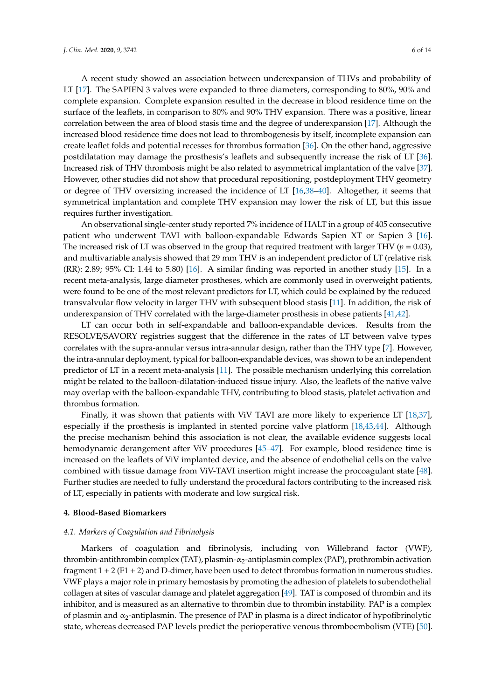A recent study showed an association between underexpansion of THVs and probability of LT [\[17\]](#page-10-23). The SAPIEN 3 valves were expanded to three diameters, corresponding to 80%, 90% and complete expansion. Complete expansion resulted in the decrease in blood residence time on the surface of the leaflets, in comparison to 80% and 90% THV expansion. There was a positive, linear correlation between the area of blood stasis time and the degree of underexpansion [\[17\]](#page-10-23). Although the increased blood residence time does not lead to thrombogenesis by itself, incomplete expansion can create leaflet folds and potential recesses for thrombus formation [\[36\]](#page-11-6). On the other hand, aggressive postdilatation may damage the prosthesis's leaflets and subsequently increase the risk of LT [\[36\]](#page-11-6). Increased risk of THV thrombosis might be also related to asymmetrical implantation of the valve [\[37\]](#page-11-7). However, other studies did not show that procedural repositioning, postdeployment THV geometry or degree of THV oversizing increased the incidence of LT [\[16,](#page-10-13)[38–](#page-11-8)[40\]](#page-11-9). Altogether, it seems that symmetrical implantation and complete THV expansion may lower the risk of LT, but this issue requires further investigation.

An observational single-center study reported 7% incidence of HALT in a group of 405 consecutive patient who underwent TAVI with balloon-expandable Edwards Sapien XT or Sapien 3 [\[16\]](#page-10-13). The increased risk of LT was observed in the group that required treatment with larger THV ( $p = 0.03$ ), and multivariable analysis showed that 29 mm THV is an independent predictor of LT (relative risk (RR): 2.89; 95% CI: 1.44 to 5.80) [\[16\]](#page-10-13). A similar finding was reported in another study [\[15\]](#page-10-9). In a recent meta-analysis, large diameter prostheses, which are commonly used in overweight patients, were found to be one of the most relevant predictors for LT, which could be explained by the reduced transvalvular flow velocity in larger THV with subsequent blood stasis [\[11\]](#page-9-9). In addition, the risk of underexpansion of THV correlated with the large-diameter prosthesis in obese patients [\[41](#page-11-10)[,42\]](#page-11-11).

LT can occur both in self-expandable and balloon-expandable devices. Results from the RESOLVE/SAVORY registries suggest that the difference in the rates of LT between valve types correlates with the supra-annular versus intra-annular design, rather than the THV type [\[7\]](#page-9-5). However, the intra-annular deployment, typical for balloon-expandable devices, was shown to be an independent predictor of LT in a recent meta-analysis [\[11\]](#page-9-9). The possible mechanism underlying this correlation might be related to the balloon-dilatation-induced tissue injury. Also, the leaflets of the native valve may overlap with the balloon-expandable THV, contributing to blood stasis, platelet activation and thrombus formation.

Finally, it was shown that patients with ViV TAVI are more likely to experience LT [\[18,](#page-10-24)[37\]](#page-11-7), especially if the prosthesis is implanted in stented porcine valve platform [\[18,](#page-10-24)[43,](#page-11-12)[44\]](#page-11-13). Although the precise mechanism behind this association is not clear, the available evidence suggests local hemodynamic derangement after ViV procedures [\[45–](#page-11-14)[47\]](#page-12-0). For example, blood residence time is increased on the leaflets of ViV implanted device, and the absence of endothelial cells on the valve combined with tissue damage from ViV-TAVI insertion might increase the procoagulant state [\[48\]](#page-12-1). Further studies are needed to fully understand the procedural factors contributing to the increased risk of LT, especially in patients with moderate and low surgical risk.

#### **4. Blood-Based Biomarkers**

#### *4.1. Markers of Coagulation and Fibrinolysis*

Markers of coagulation and fibrinolysis, including von Willebrand factor (VWF), thrombin-antithrombin complex (TAT), plasmin- $\alpha_2$ -antiplasmin complex (PAP), prothrombin activation fragment  $1 + 2$  (F1 + 2) and D-dimer, have been used to detect thrombus formation in numerous studies. VWF plays a major role in primary hemostasis by promoting the adhesion of platelets to subendothelial collagen at sites of vascular damage and platelet aggregation [\[49\]](#page-12-2). TAT is composed of thrombin and its inhibitor, and is measured as an alternative to thrombin due to thrombin instability. PAP is a complex of plasmin and  $\alpha_2$ -antiplasmin. The presence of PAP in plasma is a direct indicator of hypofibrinolytic state, whereas decreased PAP levels predict the perioperative venous thromboembolism (VTE) [\[50\]](#page-12-3).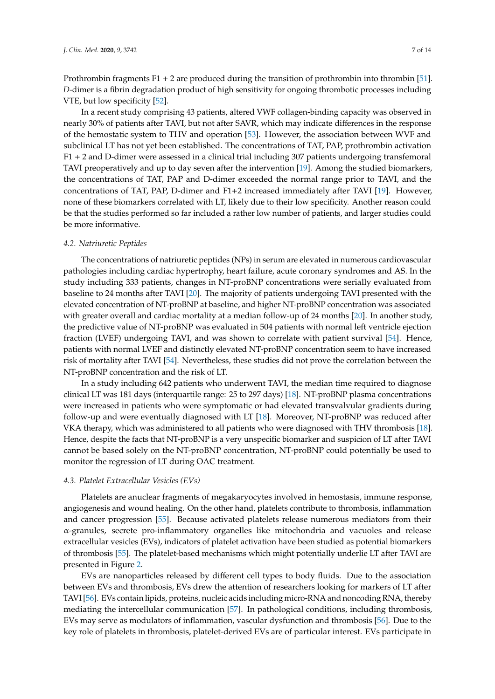Prothrombin fragments F1 + 2 are produced during the transition of prothrombin into thrombin [\[51\]](#page-12-4). *D*-dimer is a fibrin degradation product of high sensitivity for ongoing thrombotic processes including VTE, but low specificity [\[52\]](#page-12-5).

In a recent study comprising 43 patients, altered VWF collagen-binding capacity was observed in nearly 30% of patients after TAVI, but not after SAVR, which may indicate differences in the response of the hemostatic system to THV and operation [\[53\]](#page-12-6). However, the association between WVF and subclinical LT has not yet been established. The concentrations of TAT, PAP, prothrombin activation F1 + 2 and D-dimer were assessed in a clinical trial including 307 patients undergoing transfemoral TAVI preoperatively and up to day seven after the intervention [\[19\]](#page-10-25). Among the studied biomarkers, the concentrations of TAT, PAP and D-dimer exceeded the normal range prior to TAVI, and the concentrations of TAT, PAP, D-dimer and F1+2 increased immediately after TAVI [\[19\]](#page-10-25). However, none of these biomarkers correlated with LT, likely due to their low specificity. Another reason could be that the studies performed so far included a rather low number of patients, and larger studies could be more informative.

#### *4.2. Natriuretic Peptides*

The concentrations of natriuretic peptides (NPs) in serum are elevated in numerous cardiovascular pathologies including cardiac hypertrophy, heart failure, acute coronary syndromes and AS. In the study including 333 patients, changes in NT-proBNP concentrations were serially evaluated from baseline to 24 months after TAVI [\[20\]](#page-10-26). The majority of patients undergoing TAVI presented with the elevated concentration of NT-proBNP at baseline, and higher NT-proBNP concentration was associated with greater overall and cardiac mortality at a median follow-up of 24 months [\[20\]](#page-10-26). In another study, the predictive value of NT-proBNP was evaluated in 504 patients with normal left ventricle ejection fraction (LVEF) undergoing TAVI, and was shown to correlate with patient survival [\[54\]](#page-12-7). Hence, patients with normal LVEF and distinctly elevated NT-proBNP concentration seem to have increased risk of mortality after TAVI [\[54\]](#page-12-7). Nevertheless, these studies did not prove the correlation between the NT-proBNP concentration and the risk of LT.

In a study including 642 patients who underwent TAVI, the median time required to diagnose clinical LT was 181 days (interquartile range: 25 to 297 days) [\[18\]](#page-10-24). NT-proBNP plasma concentrations were increased in patients who were symptomatic or had elevated transvalvular gradients during follow-up and were eventually diagnosed with LT [\[18\]](#page-10-24). Moreover, NT-proBNP was reduced after VKA therapy, which was administered to all patients who were diagnosed with THV thrombosis [\[18\]](#page-10-24). Hence, despite the facts that NT-proBNP is a very unspecific biomarker and suspicion of LT after TAVI cannot be based solely on the NT-proBNP concentration, NT-proBNP could potentially be used to monitor the regression of LT during OAC treatment.

## *4.3. Platelet Extracellular Vesicles (EVs)*

Platelets are anuclear fragments of megakaryocytes involved in hemostasis, immune response, angiogenesis and wound healing. On the other hand, platelets contribute to thrombosis, inflammation and cancer progression [\[55\]](#page-12-8). Because activated platelets release numerous mediators from their α-granules, secrete pro-inflammatory organelles like mitochondria and vacuoles and release extracellular vesicles (EVs), indicators of platelet activation have been studied as potential biomarkers of thrombosis [\[55\]](#page-12-8). The platelet-based mechanisms which might potentially underlie LT after TAVI are presented in Figure [2.](#page-7-0)

EVs are nanoparticles released by different cell types to body fluids. Due to the association between EVs and thrombosis, EVs drew the attention of researchers looking for markers of LT after TAVI [\[56\]](#page-12-9). EVs contain lipids, proteins, nucleic acids including micro-RNA and noncoding RNA, thereby mediating the intercellular communication [\[57\]](#page-12-10). In pathological conditions, including thrombosis, EVs may serve as modulators of inflammation, vascular dysfunction and thrombosis [\[56\]](#page-12-9). Due to the key role of platelets in thrombosis, platelet-derived EVs are of particular interest. EVs participate in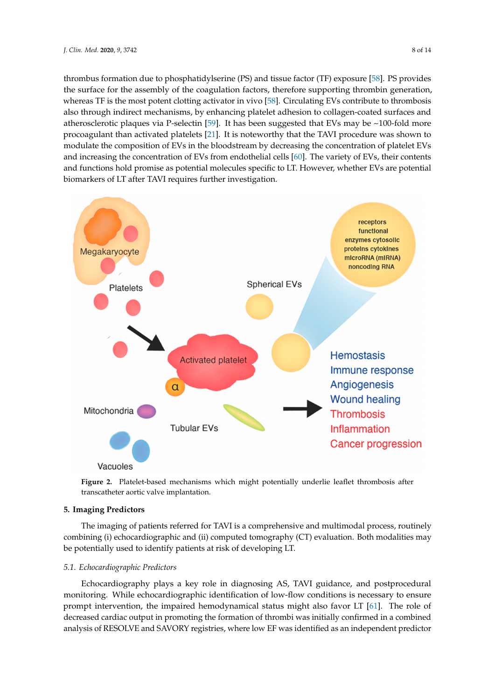thrombus formation due to phosphatidylserine (PS) and tissue factor (TF) exposure [\[58\]](#page-12-11). PS provides the surface for the assembly of the coagulation factors, therefore supporting thrombin generation, whereas TF is the most potent clotting activator in vivo [\[58\]](#page-12-11). Circulating EVs contribute to thrombosis also through indirect mechanisms, by enhancing platelet adhesion to collagen-coated surfaces and atherosclerotic plaques via P-selectin [\[59\]](#page-12-12). It has been suggested that EVs may be  $\sim$ 100-fold more procoagulant than activated platelets [\[21\]](#page-10-27). It is noteworthy that the TAVI procedure was shown to modulate the composition of EVs in the bloodstream by decreasing the concentration of platelet EVs and increasing the concentration of EVs from endothelial cells [\[60\]](#page-12-13). The variety of EVs, their contents and functions hold promise as potential molecules specific to LT. However, whether EVs are potential biomarkers of LT after TAVI requires further investigation.

<span id="page-7-0"></span>

**Figure 2. Plants** which might potentially underlie leaflet thrombosis after the leaflet thrombosis after the leaflet thrombosis after the leaflet thrombosis after the leaflet thrombosis after the leaflet thrombosis after transcatheter aortic valve implantation. **Figure 2.** Platelet-based mechanisms which might potentially underlie leaflet thrombosis after

#### **5. Imaging Predictors**

The imaging of patients referred for TAVI is a comprehensive and multimodal process, routinely between EVs and thrombosis, EVs drew the attention of researchers looking for markers of LT after combining (i) echocardiographic and (ii) computed tomography (CT) evaluation. Both modalities may  $T_{\rm{S}}$  is contained by  $\frac{1}{2}$  including micro-RNA and nucleical micro-RNA and non-RNA and non-RNA and non-RNA and non-RNA and non-RNA and non-RNA and non-RNA and non-RNA and non-RNA and non-RNA and non-RNA and non-R be potentially used to identify patients at risk of developing LT.

## thrombosis, EVs may serve as modulators of inflammation, vascular dysfunction and thrombosis *5.1. Echocardiographic Predictors*

Echocardiography plays a key role in diagnosing AS, TAVI guidance, and postprocedural monitoring. While echocardiographic identification of low-flow conditions is necessary to ensure prompt intervention, the impaired hemodynamical status might also favor LT [\[61\]](#page-12-14). The role of decreased cardiac output in promoting the formation of thrombi was initially confirmed in a combined analysis of RESOLVE and SAVORY registries, where low EF was identified as an independent predictor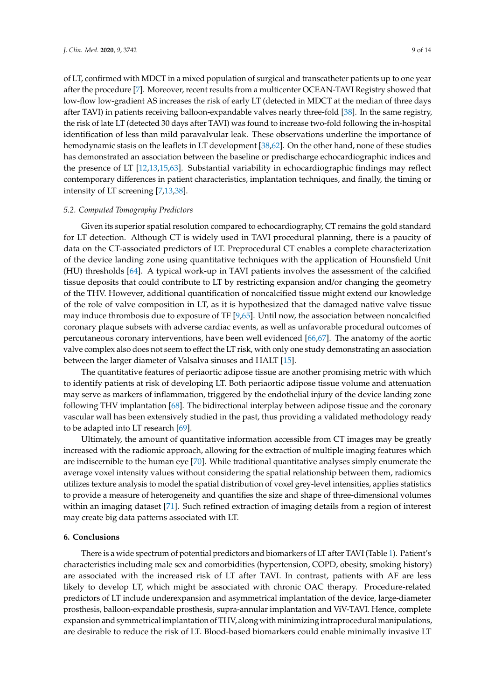of LT, confirmed with MDCT in a mixed population of surgical and transcatheter patients up to one year after the procedure [\[7\]](#page-9-5). Moreover, recent results from a multicenter OCEAN-TAVI Registry showed that low-flow low-gradient AS increases the risk of early LT (detected in MDCT at the median of three days after TAVI) in patients receiving balloon-expandable valves nearly three-fold [\[38\]](#page-11-8). In the same registry, the risk of late LT (detected 30 days after TAVI) was found to increase two-fold following the in-hospital identification of less than mild paravalvular leak. These observations underline the importance of hemodynamic stasis on the leaflets in LT development [\[38](#page-11-8)[,62\]](#page-12-15). On the other hand, none of these studies has demonstrated an association between the baseline or predischarge echocardiographic indices and the presence of LT [\[12,](#page-10-11)[13](#page-10-18)[,15,](#page-10-9)[63\]](#page-12-16). Substantial variability in echocardiographic findings may reflect contemporary differences in patient characteristics, implantation techniques, and finally, the timing or intensity of LT screening [\[7](#page-9-5)[,13](#page-10-18)[,38\]](#page-11-8).

#### *5.2. Computed Tomography Predictors*

Given its superior spatial resolution compared to echocardiography, CT remains the gold standard for LT detection. Although CT is widely used in TAVI procedural planning, there is a paucity of data on the CT-associated predictors of LT. Preprocedural CT enables a complete characterization of the device landing zone using quantitative techniques with the application of Hounsfield Unit (HU) thresholds [\[64\]](#page-12-17). A typical work-up in TAVI patients involves the assessment of the calcified tissue deposits that could contribute to LT by restricting expansion and/or changing the geometry of the THV. However, additional quantification of noncalcified tissue might extend our knowledge of the role of valve composition in LT, as it is hypothesized that the damaged native valve tissue may induce thrombosis due to exposure of TF [\[9,](#page-9-7)[65\]](#page-13-0). Until now, the association between noncalcified coronary plaque subsets with adverse cardiac events, as well as unfavorable procedural outcomes of percutaneous coronary interventions, have been well evidenced [\[66,](#page-13-1)[67\]](#page-13-2). The anatomy of the aortic valve complex also does not seem to effect the LT risk, with only one study demonstrating an association between the larger diameter of Valsalva sinuses and HALT [\[15\]](#page-10-9).

The quantitative features of periaortic adipose tissue are another promising metric with which to identify patients at risk of developing LT. Both periaortic adipose tissue volume and attenuation may serve as markers of inflammation, triggered by the endothelial injury of the device landing zone following THV implantation [\[68\]](#page-13-3). The bidirectional interplay between adipose tissue and the coronary vascular wall has been extensively studied in the past, thus providing a validated methodology ready to be adapted into LT research [\[69\]](#page-13-4).

Ultimately, the amount of quantitative information accessible from CT images may be greatly increased with the radiomic approach, allowing for the extraction of multiple imaging features which are indiscernible to the human eye [\[70\]](#page-13-5). While traditional quantitative analyses simply enumerate the average voxel intensity values without considering the spatial relationship between them, radiomics utilizes texture analysis to model the spatial distribution of voxel grey-level intensities, applies statistics to provide a measure of heterogeneity and quantifies the size and shape of three-dimensional volumes within an imaging dataset [\[71\]](#page-13-6). Such refined extraction of imaging details from a region of interest may create big data patterns associated with LT.

#### **6. Conclusions**

There is a wide spectrum of potential predictors and biomarkers of LT after TAVI (Table [1\)](#page-2-0). Patient's characteristics including male sex and comorbidities (hypertension, COPD, obesity, smoking history) are associated with the increased risk of LT after TAVI. In contrast, patients with AF are less likely to develop LT, which might be associated with chronic OAC therapy. Procedure-related predictors of LT include underexpansion and asymmetrical implantation of the device, large-diameter prosthesis, balloon-expandable prosthesis, supra-annular implantation and ViV-TAVI. Hence, complete expansion and symmetrical implantation of THV, along with minimizing intraprocedural manipulations, are desirable to reduce the risk of LT. Blood-based biomarkers could enable minimally invasive LT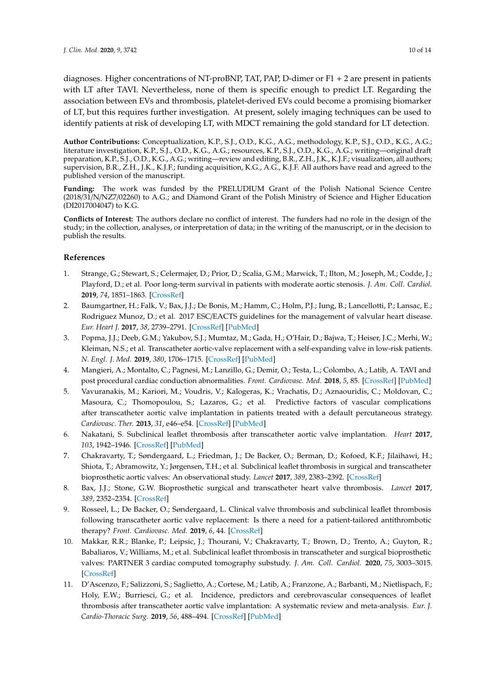diagnoses. Higher concentrations of NT-proBNP, TAT, PAP, D-dimer or F1 + 2 are present in patients with LT after TAVI. Nevertheless, none of them is specific enough to predict LT. Regarding the association between EVs and thrombosis, platelet-derived EVs could become a promising biomarker of LT, but this requires further investigation. At present, solely imaging techniques can be used to identify patients at risk of developing LT, with MDCT remaining the gold standard for LT detection.

**Author Contributions:** Conceptualization, K.P., S.J., O.D., K.G., A.G., methodology, K.P., S.J., O.D., K.G., A.G.; literature investigation, K.P., S.J., O.D., K.G., A.G.; resources, K.P., S.J., O.D., K.G., A.G.; writing—original draft preparation, K.P., S.J., O.D., K.G., A.G.; writing—review and editing, B.R., Z.H., J.K., K.J.F.; visualization, all authors; supervision, B.R., Z.H., J.K., K.J.F.; funding acquisition, K.G., A.G., K.J.F. All authors have read and agreed to the published version of the manuscript.

**Funding:** The work was funded by the PRELUDIUM Grant of the Polish National Science Centre (2018/31/N/NZ7/02260) to A.G.; and Diamond Grant of the Polish Ministry of Science and Higher Education (DI2017004047) to K.G.

**Conflicts of Interest:** The authors declare no conflict of interest. The funders had no role in the design of the study; in the collection, analyses, or interpretation of data; in the writing of the manuscript, or in the decision to publish the results.

## <span id="page-9-11"></span>**References**

- <span id="page-9-0"></span>1. Strange, G.; Stewart, S.; Celermajer, D.; Prior, D.; Scalia, G.M.; Marwick, T.; Ilton, M.; Joseph, M.; Codde, J.; Playford, D.; et al. Poor long-term survival in patients with moderate aortic stenosis. *J. Am. Coll. Cardiol.* **2019**, *74*, 1851–1863. [\[CrossRef\]](http://dx.doi.org/10.1016/j.jacc.2019.08.004)
- <span id="page-9-1"></span>2. Baumgartner, H.; Falk, V.; Bax, J.J.; De Bonis, M.; Hamm, C.; Holm, P.J.; Iung, B.; Lancellotti, P.; Lansac, E.; Rodriguez Munoz, D.; et al. 2017 ESC/EACTS guidelines for the management of valvular heart disease. *Eur. Heart J.* **2017**, *38*, 2739–2791. [\[CrossRef\]](http://dx.doi.org/10.1093/eurheartj/ehx391) [\[PubMed\]](http://www.ncbi.nlm.nih.gov/pubmed/28886619)
- <span id="page-9-2"></span>3. Popma, J.J.; Deeb, G.M.; Yakubov, S.J.; Mumtaz, M.; Gada, H.; O'Hair, D.; Bajwa, T.; Heiser, J.C.; Merhi, W.; Kleiman, N.S.; et al. Transcatheter aortic-valve replacement with a self-expanding valve in low-risk patients. *N. Engl. J. Med.* **2019**, *380*, 1706–1715. [\[CrossRef\]](http://dx.doi.org/10.1056/NEJMoa1816885) [\[PubMed\]](http://www.ncbi.nlm.nih.gov/pubmed/30883053)
- <span id="page-9-10"></span><span id="page-9-3"></span>4. Mangieri, A.; Montalto, C.; Pagnesi, M.; Lanzillo, G.; Demir, O.; Testa, L.; Colombo, A.; Latib, A. TAVI and post procedural cardiac conduction abnormalities. *Front. Cardiovasc. Med.* **2018**, *5*, 85. [\[CrossRef\]](http://dx.doi.org/10.3389/fcvm.2018.00085) [\[PubMed\]](http://www.ncbi.nlm.nih.gov/pubmed/30018969)
- 5. Vavuranakis, M.; Kariori, M.; Voudris, V.; Kalogeras, K.; Vrachatis, D.; Aznaouridis, C.; Moldovan, C.; Masoura, C.; Thomopoulou, S.; Lazaros, G.; et al. Predictive factors of vascular complications after transcatheter aortic valve implantation in patients treated with a default percutaneous strategy. *Cardiovasc. Ther.* **2013**, *31*, e46–e54. [\[CrossRef\]](http://dx.doi.org/10.1111/1755-5922.12023) [\[PubMed\]](http://www.ncbi.nlm.nih.gov/pubmed/23763705)
- <span id="page-9-4"></span>6. Nakatani, S. Subclinical leaflet thrombosis after transcatheter aortic valve implantation. *Heart* **2017**, *103*, 1942–1946. [\[CrossRef\]](http://dx.doi.org/10.1136/heartjnl-2017-311818) [\[PubMed\]](http://www.ncbi.nlm.nih.gov/pubmed/28780575)
- <span id="page-9-5"></span>7. Chakravarty, T.; Søndergaard, L.; Friedman, J.; De Backer, O.; Berman, D.; Kofoed, K.F.; Jilaihawi, H.; Shiota, T.; Abramowitz, Y.; Jørgensen, T.H.; et al. Subclinical leaflet thrombosis in surgical and transcatheter bioprosthetic aortic valves: An observational study. *Lancet* **2017**, *389*, 2383–2392. [\[CrossRef\]](http://dx.doi.org/10.1016/S0140-6736(17)30757-2)
- <span id="page-9-6"></span>8. Bax, J.J.; Stone, G.W. Bioprosthetic surgical and transcatheter heart valve thrombosis. *Lancet* **2017**, *389*, 2352–2354. [\[CrossRef\]](http://dx.doi.org/10.1016/S0140-6736(17)30764-X)
- <span id="page-9-7"></span>9. Rosseel, L.; De Backer, O.; Søndergaard, L. Clinical valve thrombosis and subclinical leaflet thrombosis following transcatheter aortic valve replacement: Is there a need for a patient-tailored antithrombotic therapy? *Front. Cardiovasc. Med.* **2019**, *6*, 44. [\[CrossRef\]](http://dx.doi.org/10.3389/fcvm.2019.00044)
- <span id="page-9-8"></span>10. Makkar, R.R.; Blanke, P.; Leipsic, J.; Thourani, V.; Chakravarty, T.; Brown, D.; Trento, A.; Guyton, R.; Babaliaros, V.; Williams, M.; et al. Subclinical leaflet thrombosis in transcatheter and surgical bioprosthetic valves: PARTNER 3 cardiac computed tomography substudy. *J. Am. Coll. Cardiol.* **2020**, *75*, 3003–3015. [\[CrossRef\]](http://dx.doi.org/10.1016/j.jacc.2020.04.043)
- <span id="page-9-9"></span>11. D'Ascenzo, F.; Salizzoni, S.; Saglietto, A.; Cortese, M.; Latib, A.; Franzone, A.; Barbanti, M.; Nietlispach, F.; Holy, E.W.; Burriesci, G.; et al. Incidence, predictors and cerebrovascular consequences of leaflet thrombosis after transcatheter aortic valve implantation: A systematic review and meta-analysis. *Eur. J. Cardio-Thoracic Surg.* **2019**, *56*, 488–494. [\[CrossRef\]](http://dx.doi.org/10.1093/ejcts/ezz099) [\[PubMed\]](http://www.ncbi.nlm.nih.gov/pubmed/31321408)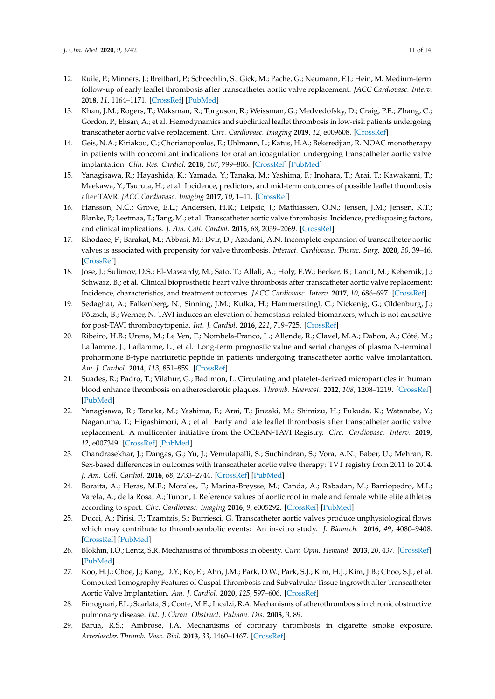- <span id="page-10-11"></span><span id="page-10-7"></span><span id="page-10-6"></span><span id="page-10-5"></span><span id="page-10-4"></span><span id="page-10-3"></span><span id="page-10-2"></span><span id="page-10-1"></span><span id="page-10-0"></span>12. Ruile, P.; Minners, J.; Breitbart, P.; Schoechlin, S.; Gick, M.; Pache, G.; Neumann, F.J.; Hein, M. Medium-term follow-up of early leaflet thrombosis after transcatheter aortic valve replacement. *JACC Cardiovasc. Interv.* **2018**, *11*, 1164–1171. [\[CrossRef\]](http://dx.doi.org/10.1016/j.jcin.2018.04.006) [\[PubMed\]](http://www.ncbi.nlm.nih.gov/pubmed/29929639)
- <span id="page-10-18"></span>13. Khan, J.M.; Rogers, T.; Waksman, R.; Torguson, R.; Weissman, G.; Medvedofsky, D.; Craig, P.E.; Zhang, C.; Gordon, P.; Ehsan, A.; et al. Hemodynamics and subclinical leaflet thrombosis in low-risk patients undergoing transcatheter aortic valve replacement. *Circ. Cardiovasc. Imaging* **2019**, *12*, e009608. [\[CrossRef\]](http://dx.doi.org/10.1161/CIRCIMAGING.119.009608)
- <span id="page-10-21"></span><span id="page-10-8"></span>14. Geis, N.A.; Kiriakou, C.; Chorianopoulos, E.; Uhlmann, L.; Katus, H.A.; Bekeredjian, R. NOAC monotherapy in patients with concomitant indications for oral anticoagulation undergoing transcatheter aortic valve implantation. *Clin. Res. Cardiol.* **2018**, *107*, 799–806. [\[CrossRef\]](http://dx.doi.org/10.1007/s00392-018-1247-x) [\[PubMed\]](http://www.ncbi.nlm.nih.gov/pubmed/29644411)
- <span id="page-10-9"></span>15. Yanagisawa, R.; Hayashida, K.; Yamada, Y.; Tanaka, M.; Yashima, F.; Inohara, T.; Arai, T.; Kawakami, T.; Maekawa, Y.; Tsuruta, H.; et al. Incidence, predictors, and mid-term outcomes of possible leaflet thrombosis after TAVR. *JACC Cardiovasc. Imaging* **2017**, *10*, 1–11. [\[CrossRef\]](http://dx.doi.org/10.1016/j.jcmg.2016.11.005)
- <span id="page-10-13"></span><span id="page-10-10"></span>16. Hansson, N.C.; Grove, E.L.; Andersen, H.R.; Leipsic, J.; Mathiassen, O.N.; Jensen, J.M.; Jensen, K.T.; Blanke, P.; Leetmaa, T.; Tang, M.; et al. Transcatheter aortic valve thrombosis: Incidence, predisposing factors, and clinical implications. *J. Am. Coll. Cardiol.* **2016**, *68*, 2059–2069. [\[CrossRef\]](http://dx.doi.org/10.1016/j.jacc.2016.08.010)
- <span id="page-10-23"></span>17. Khodaee, F.; Barakat, M.; Abbasi, M.; Dvir, D.; Azadani, A.N. Incomplete expansion of transcatheter aortic valves is associated with propensity for valve thrombosis. *Interact. Cardiovasc. Thorac. Surg.* **2020**, *30*, 39–46. [\[CrossRef\]](http://dx.doi.org/10.1093/icvts/ivz213)
- <span id="page-10-24"></span>18. Jose, J.; Sulimov, D.S.; El-Mawardy, M.; Sato, T.; Allali, A.; Holy, E.W.; Becker, B.; Landt, M.; Kebernik, J.; Schwarz, B.; et al. Clinical bioprosthetic heart valve thrombosis after transcatheter aortic valve replacement: Incidence, characteristics, and treatment outcomes. *JACC Cardiovasc. Interv.* **2017**, *10*, 686–697. [\[CrossRef\]](http://dx.doi.org/10.1016/j.jcin.2017.01.045)
- <span id="page-10-25"></span>19. Sedaghat, A.; Falkenberg, N.; Sinning, J.M.; Kulka, H.; Hammerstingl, C.; Nickenig, G.; Oldenburg, J.; Pötzsch, B.; Werner, N. TAVI induces an elevation of hemostasis-related biomarkers, which is not causative for post-TAVI thrombocytopenia. *Int. J. Cardiol.* **2016**, *221*, 719–725. [\[CrossRef\]](http://dx.doi.org/10.1016/j.ijcard.2016.07.094)
- <span id="page-10-26"></span>20. Ribeiro, H.B.; Urena, M.; Le Ven, F.; Nombela-Franco, L.; Allende, R.; Clavel, M.A.; Dahou, A.; Côté, M.; Laflamme, J.; Laflamme, L.; et al. Long-term prognostic value and serial changes of plasma N-terminal prohormone B-type natriuretic peptide in patients undergoing transcatheter aortic valve implantation. *Am. J. Cardiol.* **2014**, *113*, 851–859. [\[CrossRef\]](http://dx.doi.org/10.1016/j.amjcard.2013.11.038)
- <span id="page-10-27"></span>21. Suades, R.; Padró, T.; Vilahur, G.; Badimon, L. Circulating and platelet-derived microparticles in human blood enhance thrombosis on atherosclerotic plaques. *Thromb. Haemost.* **2012**, *108*, 1208–1219. [\[CrossRef\]](http://dx.doi.org/10.1160/TH12-07-0486) [\[PubMed\]](http://www.ncbi.nlm.nih.gov/pubmed/23138460)
- <span id="page-10-22"></span>22. Yanagisawa, R.; Tanaka, M.; Yashima, F.; Arai, T.; Jinzaki, M.; Shimizu, H.; Fukuda, K.; Watanabe, Y.; Naganuma, T.; Higashimori, A.; et al. Early and late leaflet thrombosis after transcatheter aortic valve replacement: A multicenter initiative from the OCEAN-TAVI Registry. *Circ. Cardiovasc. Interv.* **2019**, *12*, e007349. [\[CrossRef\]](http://dx.doi.org/10.1161/CIRCINTERVENTIONS.118.007349) [\[PubMed\]](http://www.ncbi.nlm.nih.gov/pubmed/30732472)
- <span id="page-10-12"></span>23. Chandrasekhar, J.; Dangas, G.; Yu, J.; Vemulapalli, S.; Suchindran, S.; Vora, A.N.; Baber, U.; Mehran, R. Sex-based differences in outcomes with transcatheter aortic valve therapy: TVT registry from 2011 to 2014. *J. Am. Coll. Cardiol.* **2016**, *68*, 2733–2744. [\[CrossRef\]](http://dx.doi.org/10.1016/j.jacc.2016.10.041) [\[PubMed\]](http://www.ncbi.nlm.nih.gov/pubmed/28007135)
- <span id="page-10-14"></span>24. Boraita, A.; Heras, M.E.; Morales, F.; Marina-Breysse, M.; Canda, A.; Rabadan, M.; Barriopedro, M.I.; Varela, A.; de la Rosa, A.; Tunon, J. Reference values of aortic root in male and female white elite athletes according to sport. *Circ. Cardiovasc. Imaging* **2016**, *9*, e005292. [\[CrossRef\]](http://dx.doi.org/10.1161/CIRCIMAGING.116.005292) [\[PubMed\]](http://www.ncbi.nlm.nih.gov/pubmed/27729365)
- <span id="page-10-15"></span>25. Ducci, A.; Pirisi, F.; Tzamtzis, S.; Burriesci, G. Transcatheter aortic valves produce unphysiological flows which may contribute to thromboembolic events: An in-vitro study. *J. Biomech.* **2016**, *49*, 4080–9408. [\[CrossRef\]](http://dx.doi.org/10.1016/j.jbiomech.2016.10.050) [\[PubMed\]](http://www.ncbi.nlm.nih.gov/pubmed/27836502)
- <span id="page-10-16"></span>26. Blokhin, I.O.; Lentz, S.R. Mechanisms of thrombosis in obesity. *Curr. Opin. Hematol.* **2013**, *20*, 437. [\[CrossRef\]](http://dx.doi.org/10.1097/MOH.0b013e3283634443) [\[PubMed\]](http://www.ncbi.nlm.nih.gov/pubmed/23817170)
- <span id="page-10-17"></span>27. Koo, H.J.; Choe, J.; Kang, D.Y.; Ko, E.; Ahn, J.M.; Park, D.W.; Park, S.J.; Kim, H.J.; Kim, J.B.; Choo, S.J.; et al. Computed Tomography Features of Cuspal Thrombosis and Subvalvular Tissue Ingrowth after Transcatheter Aortic Valve Implantation. *Am. J. Cardiol.* **2020**, *125*, 597–606. [\[CrossRef\]](http://dx.doi.org/10.1016/j.amjcard.2019.11.015)
- <span id="page-10-19"></span>28. Fimognari, F.L.; Scarlata, S.; Conte, M.E.; Incalzi, R.A. Mechanisms of atherothrombosis in chronic obstructive pulmonary disease. *Int. J. Chron. Obstruct. Pulmon. Dis.* **2008**, *3*, 89.
- <span id="page-10-20"></span>29. Barua, R.S.; Ambrose, J.A. Mechanisms of coronary thrombosis in cigarette smoke exposure. *Arterioscler. Thromb. Vasc. Biol.* **2013**, *33*, 1460–1467. [\[CrossRef\]](http://dx.doi.org/10.1161/ATVBAHA.112.300154)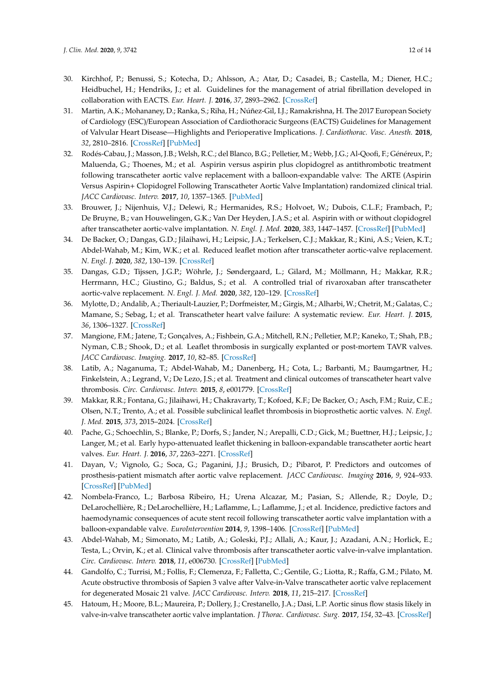- <span id="page-11-0"></span>30. Kirchhof, P.; Benussi, S.; Kotecha, D.; Ahlsson, A.; Atar, D.; Casadei, B.; Castella, M.; Diener, H.C.; Heidbuchel, H.; Hendriks, J.; et al. Guidelines for the management of atrial fibrillation developed in collaboration with EACTS. *Eur. Heart. J.* **2016**, *37*, 2893–2962. [\[CrossRef\]](http://dx.doi.org/10.1093/eurheartj/ehw210)
- <span id="page-11-1"></span>31. Martin, A.K.; Mohananey, D.; Ranka, S.; Riha, H.; Núñez-Gil, I.J.; Ramakrishna, H. The 2017 European Society of Cardiology (ESC)/European Association of Cardiothoracic Surgeons (EACTS) Guidelines for Management of Valvular Heart Disease—Highlights and Perioperative Implications. *J. Cardiothorac. Vasc. Anesth.* **2018**, *32*, 2810–2816. [\[CrossRef\]](http://dx.doi.org/10.1053/j.jvca.2018.05.015) [\[PubMed\]](http://www.ncbi.nlm.nih.gov/pubmed/29934206)
- <span id="page-11-2"></span>32. Rodés-Cabau, J.; Masson, J.B.; Welsh, R.C.; del Blanco, B.G.; Pelletier, M.; Webb, J.G.; Al-Qoofi, F.; Généreux, P.; Maluenda, G.; Thoenes, M.; et al. Aspirin versus aspirin plus clopidogrel as antithrombotic treatment following transcatheter aortic valve replacement with a balloon-expandable valve: The ARTE (Aspirin Versus Aspirin+ Clopidogrel Following Transcatheter Aortic Valve Implantation) randomized clinical trial. *JACC Cardiovasc. Interv.* **2017**, *10*, 1357–1365. [\[PubMed\]](http://www.ncbi.nlm.nih.gov/pubmed/28527771)
- <span id="page-11-3"></span>33. Brouwer, J.; Nijenhuis, V.J.; Delewi, R.; Hermanides, R.S.; Holvoet, W.; Dubois, C.L.F.; Frambach, P.; De Bruyne, B.; van Houwelingen, G.K.; Van Der Heyden, J.A.S.; et al. Aspirin with or without clopidogrel after transcatheter aortic-valve implantation. *N. Engl. J. Med.* **2020**, *383*, 1447–1457. [\[CrossRef\]](http://dx.doi.org/10.1056/NEJMoa2017815) [\[PubMed\]](http://www.ncbi.nlm.nih.gov/pubmed/32865376)
- <span id="page-11-4"></span>34. De Backer, O.; Dangas, G.D.; Jilaihawi, H.; Leipsic, J.A.; Terkelsen, C.J.; Makkar, R.; Kini, A.S.; Veien, K.T.; Abdel-Wahab, M.; Kim, W.K.; et al. Reduced leaflet motion after transcatheter aortic-valve replacement. *N. Engl. J.* **2020**, *382*, 130–139. [\[CrossRef\]](http://dx.doi.org/10.1056/NEJMoa1911426)
- <span id="page-11-5"></span>35. Dangas, G.D.; Tijssen, J.G.P.; Wöhrle, J.; Søndergaard, L.; Gilard, M.; Möllmann, H.; Makkar, R.R.; Herrmann, H.C.; Giustino, G.; Baldus, S.; et al. A controlled trial of rivaroxaban after transcatheter aortic-valve replacement. *N. Engl. J. Med.* **2020**, *382*, 120–129. [\[CrossRef\]](http://dx.doi.org/10.1056/NEJMoa1911425)
- <span id="page-11-6"></span>36. Mylotte, D.; Andalib, A.; Theriault-Lauzier, P.; Dorfmeister, M.; Girgis, M.; Alharbi, W.; Chetrit, M.; Galatas, C.; Mamane, S.; Sebag, I.; et al. Transcatheter heart valve failure: A systematic review. *Eur. Heart. J.* **2015**, *36*, 1306–1327. [\[CrossRef\]](http://dx.doi.org/10.1093/eurheartj/ehu388)
- <span id="page-11-7"></span>37. Mangione, F.M.; Jatene, T.; Gonçalves, A.; Fishbein, G.A.; Mitchell, R.N.; Pelletier, M.P.; Kaneko, T.; Shah, P.B.; Nyman, C.B.; Shook, D.; et al. Leaflet thrombosis in surgically explanted or post-mortem TAVR valves. *JACC Cardiovasc. Imaging.* **2017**, *10*, 82–85. [\[CrossRef\]](http://dx.doi.org/10.1016/j.jcmg.2016.11.009)
- <span id="page-11-8"></span>38. Latib, A.; Naganuma, T.; Abdel-Wahab, M.; Danenberg, H.; Cota, L.; Barbanti, M.; Baumgartner, H.; Finkelstein, A.; Legrand, V.; De Lezo, J.S.; et al. Treatment and clinical outcomes of transcatheter heart valve thrombosis. *Circ. Cardiovasc. Interv.* **2015**, *8*, e001779. [\[CrossRef\]](http://dx.doi.org/10.1161/CIRCINTERVENTIONS.114.001779)
- 39. Makkar, R.R.; Fontana, G.; Jilaihawi, H.; Chakravarty, T.; Kofoed, K.F.; De Backer, O.; Asch, F.M.; Ruiz, C.E.; Olsen, N.T.; Trento, A.; et al. Possible subclinical leaflet thrombosis in bioprosthetic aortic valves. *N. Engl. J. Med.* **2015**, *373*, 2015–2024. [\[CrossRef\]](http://dx.doi.org/10.1056/NEJMoa1509233)
- <span id="page-11-9"></span>40. Pache, G.; Schoechlin, S.; Blanke, P.; Dorfs, S.; Jander, N.; Arepalli, C.D.; Gick, M.; Buettner, H.J.; Leipsic, J.; Langer, M.; et al. Early hypo-attenuated leaflet thickening in balloon-expandable transcatheter aortic heart valves. *Eur. Heart. J.* **2016**, *37*, 2263–2271. [\[CrossRef\]](http://dx.doi.org/10.1093/eurheartj/ehv526)
- <span id="page-11-10"></span>41. Dayan, V.; Vignolo, G.; Soca, G.; Paganini, J.J.; Brusich, D.; Pibarot, P. Predictors and outcomes of prosthesis-patient mismatch after aortic valve replacement. *JACC Cardiovasc. Imaging* **2016**, *9*, 924–933. [\[CrossRef\]](http://dx.doi.org/10.1016/j.jcmg.2015.10.026) [\[PubMed\]](http://www.ncbi.nlm.nih.gov/pubmed/27236530)
- <span id="page-11-11"></span>42. Nombela-Franco, L.; Barbosa Ribeiro, H.; Urena Alcazar, M.; Pasian, S.; Allende, R.; Doyle, D.; DeLarochellière, R.; DeLarochellière, H.; Laflamme, L.; Laflamme, J.; et al. Incidence, predictive factors and haemodynamic consequences of acute stent recoil following transcatheter aortic valve implantation with a balloon-expandable valve. *EuroIntervention* **2014**, *9*, 1398–1406. [\[CrossRef\]](http://dx.doi.org/10.4244/EIJV9I12A237) [\[PubMed\]](http://www.ncbi.nlm.nih.gov/pubmed/24064535)
- <span id="page-11-12"></span>43. Abdel-Wahab, M.; Simonato, M.; Latib, A.; Goleski, P.J.; Allali, A.; Kaur, J.; Azadani, A.N.; Horlick, E.; Testa, L.; Orvin, K.; et al. Clinical valve thrombosis after transcatheter aortic valve-in-valve implantation. *Circ. Cardiovasc. Interv.* **2018**, *11*, e006730. [\[CrossRef\]](http://dx.doi.org/10.1161/CIRCINTERVENTIONS.118.006730) [\[PubMed\]](http://www.ncbi.nlm.nih.gov/pubmed/30571208)
- <span id="page-11-13"></span>44. Gandolfo, C.; Turrisi, M.; Follis, F.; Clemenza, F.; Falletta, C.; Gentile, G.; Liotta, R.; Raffa, G.M.; Pilato, M. Acute obstructive thrombosis of Sapien 3 valve after Valve-in-Valve transcatheter aortic valve replacement for degenerated Mosaic 21 valve. *JACC Cardiovasc. Interv.* **2018**, *11*, 215–217. [\[CrossRef\]](http://dx.doi.org/10.1016/j.jcin.2017.08.054)
- <span id="page-11-14"></span>45. Hatoum, H.; Moore, B.L.; Maureira, P.; Dollery, J.; Crestanello, J.A.; Dasi, L.P. Aortic sinus flow stasis likely in valve-in-valve transcatheter aortic valve implantation. *J Thorac. Cardiovasc. Surg.* **2017**, *154*, 32–43. [\[CrossRef\]](http://dx.doi.org/10.1016/j.jtcvs.2017.03.053)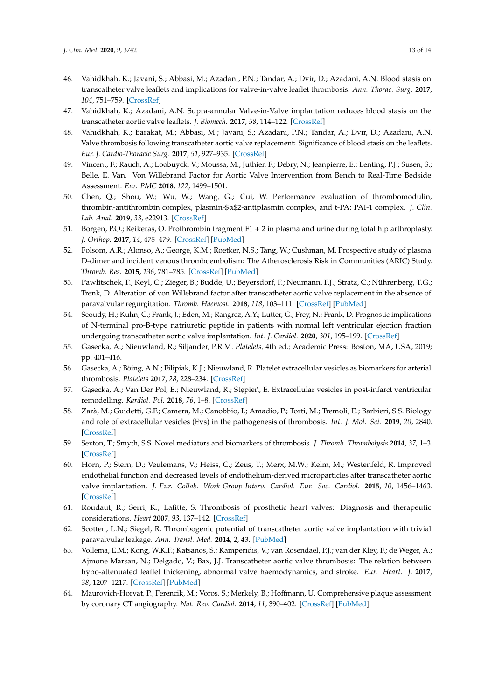- 46. Vahidkhah, K.; Javani, S.; Abbasi, M.; Azadani, P.N.; Tandar, A.; Dvir, D.; Azadani, A.N. Blood stasis on transcatheter valve leaflets and implications for valve-in-valve leaflet thrombosis. *Ann. Thorac. Surg.* **2017**, *104*, 751–759. [\[CrossRef\]](http://dx.doi.org/10.1016/j.athoracsur.2017.02.052)
- <span id="page-12-0"></span>47. Vahidkhah, K.; Azadani, A.N. Supra-annular Valve-in-Valve implantation reduces blood stasis on the transcatheter aortic valve leaflets. *J. Biomech.* **2017**, *58*, 114–122. [\[CrossRef\]](http://dx.doi.org/10.1016/j.jbiomech.2017.04.020)
- <span id="page-12-1"></span>48. Vahidkhah, K.; Barakat, M.; Abbasi, M.; Javani, S.; Azadani, P.N.; Tandar, A.; Dvir, D.; Azadani, A.N. Valve thrombosis following transcatheter aortic valve replacement: Significance of blood stasis on the leaflets. *Eur. J. Cardio-Thoracic Surg.* **2017**, *51*, 927–935. [\[CrossRef\]](http://dx.doi.org/10.1093/ejcts/ezw407)
- <span id="page-12-2"></span>49. Vincent, F.; Rauch, A.; Loobuyck, V.; Moussa, M.; Juthier, F.; Debry, N.; Jeanpierre, E.; Lenting, P.J.; Susen, S.; Belle, E. Van. Von Willebrand Factor for Aortic Valve Intervention from Bench to Real-Time Bedside Assessment. *Eur. PMC* **2018**, *122*, 1499–1501.
- <span id="page-12-3"></span>50. Chen, Q.; Shou, W.; Wu, W.; Wang, G.; Cui, W. Performance evaluation of thrombomodulin, thrombin-antithrombin complex, plasmin-\$α\$2-antiplasmin complex, and t-PA: PAI-1 complex. *J. Clin. Lab. Anal.* **2019**, *33*, e22913. [\[CrossRef\]](http://dx.doi.org/10.1002/jcla.22913)
- <span id="page-12-4"></span>51. Borgen, P.O.; Reikeras, O. Prothrombin fragment F1 + 2 in plasma and urine during total hip arthroplasty. *J. Orthop.* **2017**, *14*, 475–479. [\[CrossRef\]](http://dx.doi.org/10.1016/j.jor.2017.08.001) [\[PubMed\]](http://www.ncbi.nlm.nih.gov/pubmed/28831236)
- <span id="page-12-5"></span>52. Folsom, A.R.; Alonso, A.; George, K.M.; Roetker, N.S.; Tang, W.; Cushman, M. Prospective study of plasma D-dimer and incident venous thromboembolism: The Atherosclerosis Risk in Communities (ARIC) Study. *Thromb. Res.* **2015**, *136*, 781–785. [\[CrossRef\]](http://dx.doi.org/10.1016/j.thromres.2015.08.013) [\[PubMed\]](http://www.ncbi.nlm.nih.gov/pubmed/26337932)
- <span id="page-12-6"></span>53. Pawlitschek, F.; Keyl, C.; Zieger, B.; Budde, U.; Beyersdorf, F.; Neumann, F.J.; Stratz, C.; Nührenberg, T.G.; Trenk, D. Alteration of von Willebrand factor after transcatheter aortic valve replacement in the absence of paravalvular regurgitation. *Thromb. Haemost.* **2018**, *118*, 103–111. [\[CrossRef\]](http://dx.doi.org/10.1160/17-07-0506) [\[PubMed\]](http://www.ncbi.nlm.nih.gov/pubmed/29304530)
- <span id="page-12-7"></span>54. Seoudy, H.; Kuhn, C.; Frank, J.; Eden, M.; Rangrez, A.Y.; Lutter, G.; Frey, N.; Frank, D. Prognostic implications of N-terminal pro-B-type natriuretic peptide in patients with normal left ventricular ejection fraction undergoing transcatheter aortic valve implantation. *Int. J. Cardiol.* **2020**, *301*, 195–199. [\[CrossRef\]](http://dx.doi.org/10.1016/j.ijcard.2019.11.101)
- <span id="page-12-8"></span>55. Gasecka, A.; Nieuwland, R.; Siljander, P.R.M. *Platelets*, 4th ed.; Academic Press: Boston, MA, USA, 2019; pp. 401–416.
- <span id="page-12-9"></span>56. Gasecka, A.; Böing, A.N.; Filipiak, K.J.; Nieuwland, R. Platelet extracellular vesicles as biomarkers for arterial thrombosis. *Platelets* **2017**, *28*, 228–234. [\[CrossRef\]](http://dx.doi.org/10.1080/09537104.2016.1254174)
- <span id="page-12-10"></span>57. Gasecka, A.; Van Der Pol, E.; Nieuwland, R.; Stępień, E. Extracellular vesicles in post-infarct ventricular remodelling. *Kardiol. Pol.* **2018**, *76*, 1–8. [\[CrossRef\]](http://dx.doi.org/10.5603/KP.a2017.0178)
- <span id="page-12-11"></span>58. Zarà, M.; Guidetti, G.F.; Camera, M.; Canobbio, I.; Amadio, P.; Torti, M.; Tremoli, E.; Barbieri, S.S. Biology and role of extracellular vesicles (Evs) in the pathogenesis of thrombosis. *Int. J. Mol. Sci.* **2019**, *20*, 2840. [\[CrossRef\]](http://dx.doi.org/10.3390/ijms20112840)
- <span id="page-12-12"></span>59. Sexton, T.; Smyth, S.S. Novel mediators and biomarkers of thrombosis. *J. Thromb. Thrombolysis* **2014**, *37*, 1–3. [\[CrossRef\]](http://dx.doi.org/10.1007/s11239-013-1034-5)
- <span id="page-12-13"></span>60. Horn, P.; Stern, D.; Veulemans, V.; Heiss, C.; Zeus, T.; Merx, M.W.; Kelm, M.; Westenfeld, R. Improved endothelial function and decreased levels of endothelium-derived microparticles after transcatheter aortic valve implantation. *J. Eur. Collab. Work Group Interv. Cardiol. Eur. Soc. Cardiol.* **2015**, *10*, 1456–1463. [\[CrossRef\]](http://dx.doi.org/10.4244/EIJY14M10_02)
- <span id="page-12-14"></span>61. Roudaut, R.; Serri, K.; Lafitte, S. Thrombosis of prosthetic heart valves: Diagnosis and therapeutic considerations. *Heart* **2007**, *93*, 137–142. [\[CrossRef\]](http://dx.doi.org/10.1136/hrt.2005.071183)
- <span id="page-12-15"></span>62. Scotten, L.N.; Siegel, R. Thrombogenic potential of transcatheter aortic valve implantation with trivial paravalvular leakage. *Ann. Transl. Med.* **2014**, *2*, 43. [\[PubMed\]](http://www.ncbi.nlm.nih.gov/pubmed/25333018)
- <span id="page-12-16"></span>63. Vollema, E.M.; Kong, W.K.F.; Katsanos, S.; Kamperidis, V.; van Rosendael, P.J.; van der Kley, F.; de Weger, A.; Ajmone Marsan, N.; Delgado, V.; Bax, J.J. Transcatheter aortic valve thrombosis: The relation between hypo-attenuated leaflet thickening, abnormal valve haemodynamics, and stroke. *Eur. Heart. J.* **2017**, *38*, 1207–1217. [\[CrossRef\]](http://dx.doi.org/10.1093/eurheartj/ehx031) [\[PubMed\]](http://www.ncbi.nlm.nih.gov/pubmed/28369242)
- <span id="page-12-17"></span>64. Maurovich-Horvat, P.; Ferencik, M.; Voros, S.; Merkely, B.; Hoffmann, U. Comprehensive plaque assessment by coronary CT angiography. *Nat. Rev. Cardiol.* **2014**, *11*, 390–402. [\[CrossRef\]](http://dx.doi.org/10.1038/nrcardio.2014.60) [\[PubMed\]](http://www.ncbi.nlm.nih.gov/pubmed/24755916)